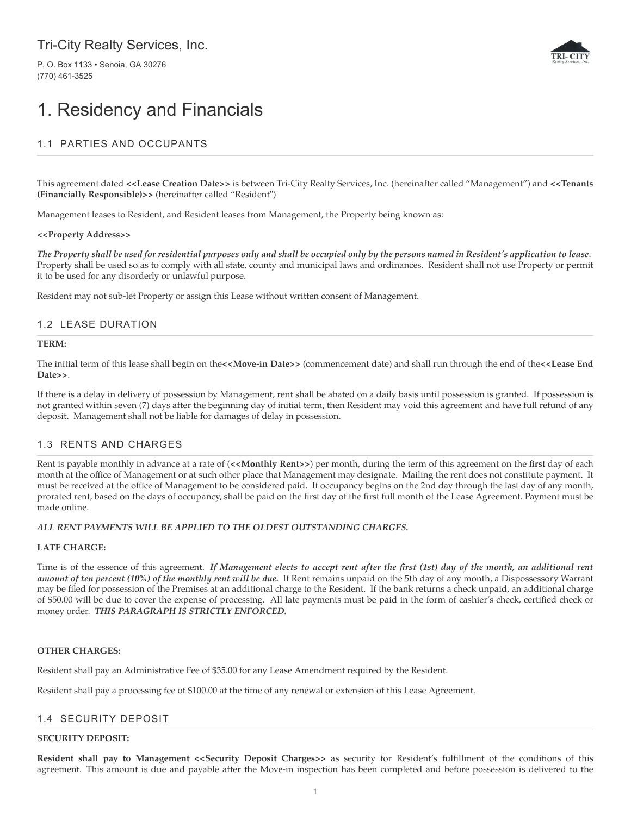# Tri-City Realty Services, Inc.

P. O. Box 1133 • Senoia, GA 30276 (770) 461-3525



# 1. Residency and Financials

# 1.1 PARTIES AND OCCUPANTS

This agreement dated **<<Lease Creation Date>>** is between Tri-City Realty Services, Inc. (hereinafter called "Management") and **<<Tenants (Financially Responsible)>>** (hereinafter called "Resident")

Management leases to Resident, and Resident leases from Management, the Property being known as:

#### **<<Property Address>>**

*The Property shall be used for residential purposes only and shall be occupied only by the persons named in Resident's application to lease*. Property shall be used so as to comply with all state, county and municipal laws and ordinances. Resident shall not use Property or permit it to be used for any disorderly or unlawful purpose.

Resident may not sub-let Property or assign this Lease without written consent of Management.

# 1.2 LEASE DURATION

#### **TERM:**

The initial term of this lease shall begin on the**<<Move-in Date>>** (commencement date) and shall run through the end of the**<<Lease End Date>>**.

If there is a delay in delivery of possession by Management, rent shall be abated on a daily basis until possession is granted. If possession is not granted within seven (7) days after the beginning day of initial term, then Resident may void this agreement and have full refund of any deposit. Management shall not be liable for damages of delay in possession.

# 1.3 RENTS AND CHARGES

Rent is payable monthly in advance at a rate of (**<<Monthly Rent>>**) per month, during the term of this agreement on the **first** day of each month at the office of Management or at such other place that Management may designate. Mailing the rent does not constitute payment. It must be received at the office of Management to be considered paid. If occupancy begins on the 2nd day through the last day of any month, prorated rent, based on the days of occupancy, shall be paid on the first day of the first full month of the Lease Agreement. Payment must be made online.

## *ALL RENT PAYMENTS WILL BE APPLIED TO THE OLDEST OUTSTANDING CHARGES.*

## **LATE CHARGE:**

Time is of the essence of this agreement. *If Management elects to accept rent after the first (1st) day of the month, an additional rent amount of ten percent (10%) of the monthly rent will be due.* If Rent remains unpaid on the 5th day of any month, a Dispossessory Warrant may be filed for possession of the Premises at an additional charge to the Resident. If the bank returns a check unpaid, an additional charge of \$50.00 will be due to cover the expense of processing. All late payments must be paid in the form of cashier's check, certified check or money order. *THIS PARAGRAPH IS STRICTLY ENFORCED.*

## **OTHER CHARGES:**

Resident shall pay an Administrative Fee of \$35.00 for any Lease Amendment required by the Resident.

Resident shall pay a processing fee of \$100.00 at the time of any renewal or extension of this Lease Agreement.

# 1.4 SECURITY DEPOSIT

#### **SECURITY DEPOSIT:**

**Resident shall pay to Management <<Security Deposit Charges>>** as security for Resident's fulfillment of the conditions of this agreement. This amount is due and payable after the Move-in inspection has been completed and before possession is delivered to the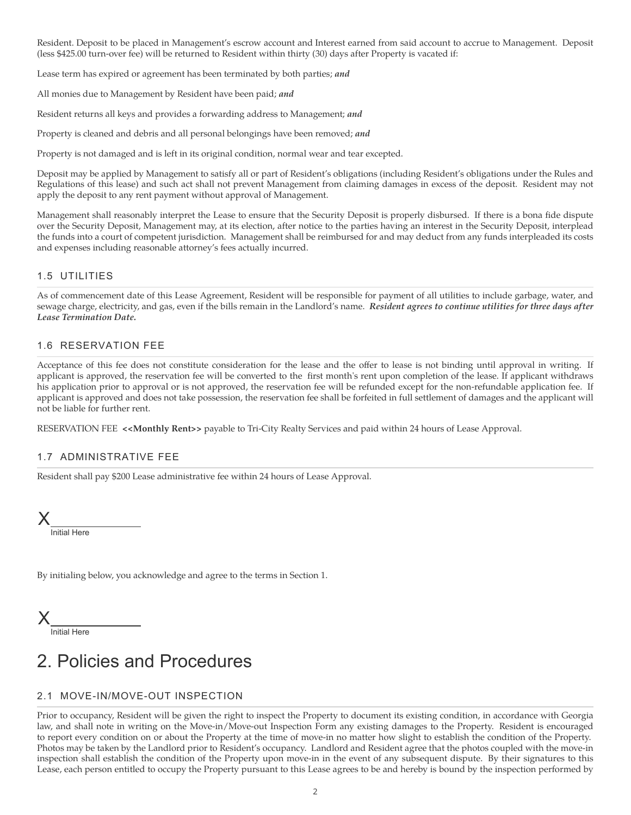Resident. Deposit to be placed in Management's escrow account and Interest earned from said account to accrue to Management. Deposit (less \$425.00 turn-over fee) will be returned to Resident within thirty (30) days after Property is vacated if:

Lease term has expired or agreement has been terminated by both parties; *and*

All monies due to Management by Resident have been paid; *and*

Resident returns all keys and provides a forwarding address to Management; *and*

Property is cleaned and debris and all personal belongings have been removed; *and*

Property is not damaged and is left in its original condition, normal wear and tear excepted.

Deposit may be applied by Management to satisfy all or part of Resident's obligations (including Resident's obligations under the Rules and Regulations of this lease) and such act shall not prevent Management from claiming damages in excess of the deposit. Resident may not apply the deposit to any rent payment without approval of Management.

Management shall reasonably interpret the Lease to ensure that the Security Deposit is properly disbursed. If there is a bona fide dispute over the Security Deposit, Management may, at its election, after notice to the parties having an interest in the Security Deposit, interplead the funds into a court of competent jurisdiction. Management shall be reimbursed for and may deduct from any funds interpleaded its costs and expenses including reasonable attorney's fees actually incurred.

## 1.5 UTILITIES

As of commencement date of this Lease Agreement, Resident will be responsible for payment of all utilities to include garbage, water, and sewage charge, electricity, and gas, even if the bills remain in the Landlord's name. *Resident agrees to continue utilities for three days after Lease Termination Date.*

## 1.6 RESERVATION FEE

Acceptance of this fee does not constitute consideration for the lease and the offer to lease is not binding until approval in writing. If applicant is approved, the reservation fee will be converted to the first month's rent upon completion of the lease. If applicant withdraws his application prior to approval or is not approved, the reservation fee will be refunded except for the non-refundable application fee. If applicant is approved and does not take possession, the reservation fee shall be forfeited in full settlement of damages and the applicant will not be liable for further rent.

RESERVATION FEE <<Monthly Rent>> payable to Tri-City Realty Services and paid within 24 hours of Lease Approval.

# 1.7 ADMINISTRATIVE FEE

Resident shall pay \$200 Lease administrative fee within 24 hours of Lease Approval.

Initial Here X

By initialing below, you acknowledge and agree to the terms in Section 1.

Initial Here X

# 2. Policies and Procedures

# 2.1 MOVE-IN/MOVE-OUT INSPECTION

Prior to occupancy, Resident will be given the right to inspect the Property to document its existing condition, in accordance with Georgia law, and shall note in writing on the Move-in/Move-out Inspection Form any existing damages to the Property. Resident is encouraged to report every condition on or about the Property at the time of move-in no matter how slight to establish the condition of the Property. Photos may be taken by the Landlord prior to Resident's occupancy. Landlord and Resident agree that the photos coupled with the move-in inspection shall establish the condition of the Property upon move-in in the event of any subsequent dispute. By their signatures to this Lease, each person entitled to occupy the Property pursuant to this Lease agrees to be and hereby is bound by the inspection performed by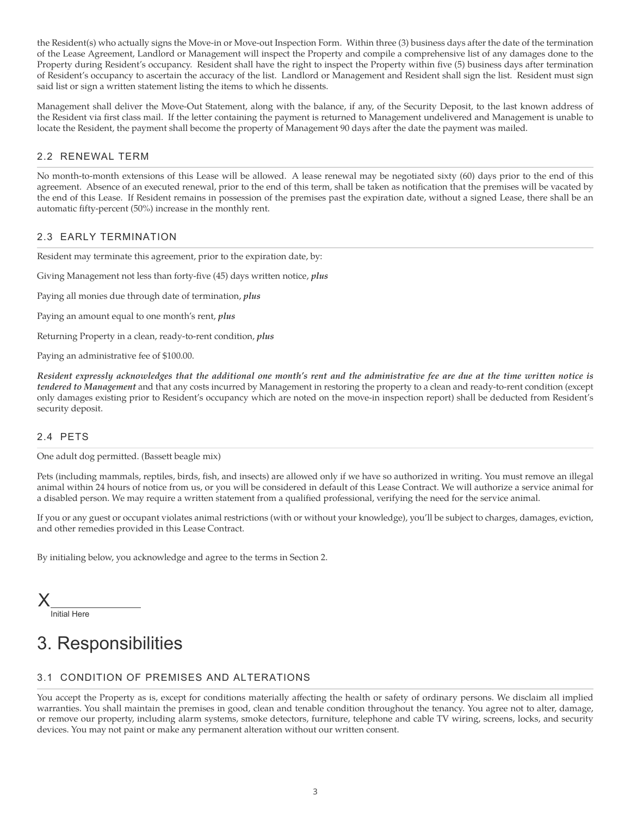the Resident(s) who actually signs the Move-in or Move-out Inspection Form. Within three (3) business days after the date of the termination of the Lease Agreement, Landlord or Management will inspect the Property and compile a comprehensive list of any damages done to the Property during Resident's occupancy. Resident shall have the right to inspect the Property within five (5) business days after termination of Resident's occupancy to ascertain the accuracy of the list. Landlord or Management and Resident shall sign the list. Resident must sign said list or sign a written statement listing the items to which he dissents.

Management shall deliver the Move-Out Statement, along with the balance, if any, of the Security Deposit, to the last known address of the Resident via first class mail. If the letter containing the payment is returned to Management undelivered and Management is unable to locate the Resident, the payment shall become the property of Management 90 days after the date the payment was mailed.

# 2.2 RENEWAL TERM

No month-to-month extensions of this Lease will be allowed. A lease renewal may be negotiated sixty (60) days prior to the end of this agreement. Absence of an executed renewal, prior to the end of this term, shall be taken as notification that the premises will be vacated by the end of this Lease. If Resident remains in possession of the premises past the expiration date, without a signed Lease, there shall be an automatic fifty-percent (50%) increase in the monthly rent.

# 2.3 EARLY TERMINATION

Resident may terminate this agreement, prior to the expiration date, by:

Giving Management not less than forty-five (45) days written notice, *plus*

Paying all monies due through date of termination, *plus*

Paying an amount equal to one month's rent, *plus*

Returning Property in a clean, ready-to-rent condition, *plus*

Paying an administrative fee of \$100.00.

*Resident expressly acknowledges that the additional one month's rent and the administrative fee are due at the time written notice is tendered to Management* and that any costs incurred by Management in restoring the property to a clean and ready-to-rent condition (except only damages existing prior to Resident's occupancy which are noted on the move-in inspection report) shall be deducted from Resident's security deposit.

## 2.4 PETS

One adult dog permitted. (Bassett beagle mix)

Pets (including mammals, reptiles, birds, fish, and insects) are allowed only if we have so authorized in writing. You must remove an illegal animal within 24 hours of notice from us, or you will be considered in default of this Lease Contract. We will authorize a service animal for a disabled person. We may require a written statement from a qualified professional, verifying the need for the service animal.

If you or any guest or occupant violates animal restrictions (with or without your knowledge), you'll be subject to charges, damages, eviction, and other remedies provided in this Lease Contract.

By initialing below, you acknowledge and agree to the terms in Section 2.

Initial Here X

# 3. Responsibilities

# 3.1 CONDITION OF PREMISES AND ALTERATIONS

You accept the Property as is, except for conditions materially affecting the health or safety of ordinary persons. We disclaim all implied warranties. You shall maintain the premises in good, clean and tenable condition throughout the tenancy. You agree not to alter, damage, or remove our property, including alarm systems, smoke detectors, furniture, telephone and cable TV wiring, screens, locks, and security devices. You may not paint or make any permanent alteration without our written consent.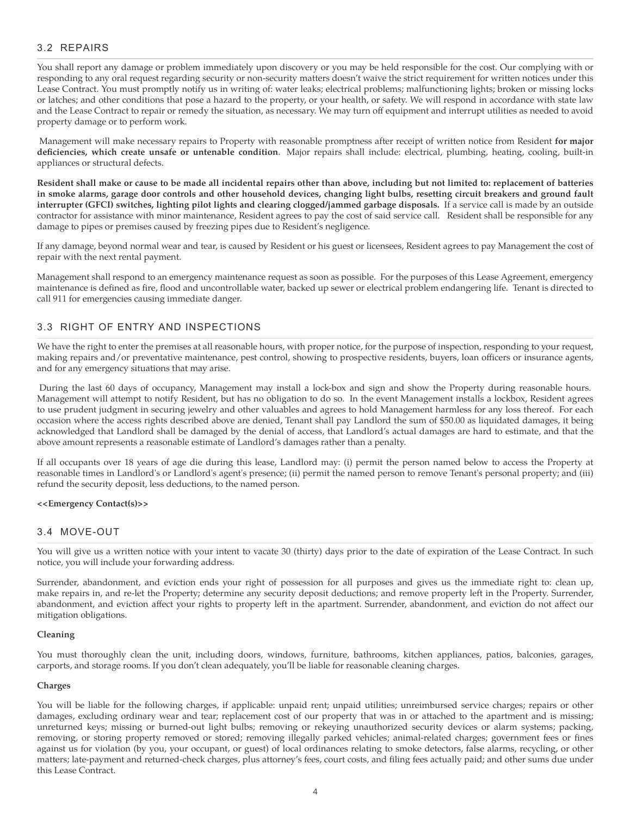# 3.2 REPAIRS

You shall report any damage or problem immediately upon discovery or you may be held responsible for the cost. Our complying with or responding to any oral request regarding security or non-security matters doesn't waive the strict requirement for written notices under this Lease Contract. You must promptly notify us in writing of: water leaks; electrical problems; malfunctioning lights; broken or missing locks or latches; and other conditions that pose a hazard to the property, or your health, or safety. We will respond in accordance with state law and the Lease Contract to repair or remedy the situation, as necessary. We may turn off equipment and interrupt utilities as needed to avoid property damage or to perform work.

Management will make necessary repairs to Property with reasonable promptness after receipt of written notice from Resident **for major deficiencies, which create unsafe or untenable condition**. Major repairs shall include: electrical, plumbing, heating, cooling, built-in appliances or structural defects.

**Resident shall make or cause to be made all incidental repairs other than above, including but not limited to: replacement of batteries in smoke alarms, garage door controls and other household devices, changing light bulbs, resetting circuit breakers and ground fault interrupter (GFCI) switches, lighting pilot lights and clearing clogged/jammed garbage disposals.** If a service call is made by an outside contractor for assistance with minor maintenance, Resident agrees to pay the cost of said service call. Resident shall be responsible for any damage to pipes or premises caused by freezing pipes due to Resident's negligence.

If any damage, beyond normal wear and tear, is caused by Resident or his guest or licensees, Resident agrees to pay Management the cost of repair with the next rental payment.

Management shall respond to an emergency maintenance request as soon as possible. For the purposes of this Lease Agreement, emergency maintenance is defined as fire, flood and uncontrollable water, backed up sewer or electrical problem endangering life. Tenant is directed to call 911 for emergencies causing immediate danger.

# 3.3 RIGHT OF ENTRY AND INSPECTIONS

We have the right to enter the premises at all reasonable hours, with proper notice, for the purpose of inspection, responding to your request, making repairs and/or preventative maintenance, pest control, showing to prospective residents, buyers, loan officers or insurance agents, and for any emergency situations that may arise.

During the last 60 days of occupancy, Management may install a lock-box and sign and show the Property during reasonable hours. Management will attempt to notify Resident, but has no obligation to do so. In the event Management installs a lockbox, Resident agrees to use prudent judgment in securing jewelry and other valuables and agrees to hold Management harmless for any loss thereof. For each occasion where the access rights described above are denied, Tenant shall pay Landlord the sum of \$50.00 as liquidated damages, it being acknowledged that Landlord shall be damaged by the denial of access, that Landlord's actual damages are hard to estimate, and that the above amount represents a reasonable estimate of Landlord's damages rather than a penalty.

If all occupants over 18 years of age die during this lease, Landlord may: (i) permit the person named below to access the Property at reasonable times in Landlord's or Landlord's agent's presence; (ii) permit the named person to remove Tenant's personal property; and (iii) refund the security deposit, less deductions, to the named person.

#### **<<Emergency Contact(s)>>**

## 3.4 MOVE-OUT

You will give us a written notice with your intent to vacate 30 (thirty) days prior to the date of expiration of the Lease Contract. In such notice, you will include your forwarding address.

Surrender, abandonment, and eviction ends your right of possession for all purposes and gives us the immediate right to: clean up, make repairs in, and re-let the Property; determine any security deposit deductions; and remove property left in the Property. Surrender, abandonment, and eviction affect your rights to property left in the apartment. Surrender, abandonment, and eviction do not affect our mitigation obligations.

#### **Cleaning**

You must thoroughly clean the unit, including doors, windows, furniture, bathrooms, kitchen appliances, patios, balconies, garages, carports, and storage rooms. If you don't clean adequately, you'll be liable for reasonable cleaning charges.

#### **Charges**

You will be liable for the following charges, if applicable: unpaid rent; unpaid utilities; unreimbursed service charges; repairs or other damages, excluding ordinary wear and tear; replacement cost of our property that was in or attached to the apartment and is missing; unreturned keys; missing or burned-out light bulbs; removing or rekeying unauthorized security devices or alarm systems; packing, removing, or storing property removed or stored; removing illegally parked vehicles; animal-related charges; government fees or fines against us for violation (by you, your occupant, or guest) of local ordinances relating to smoke detectors, false alarms, recycling, or other matters; late-payment and returned-check charges, plus attorney's fees, court costs, and filing fees actually paid; and other sums due under this Lease Contract.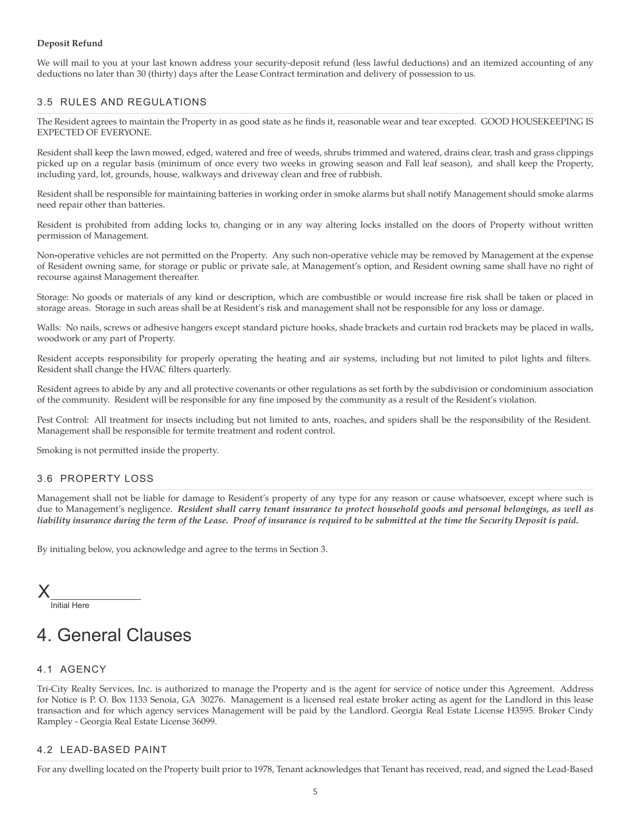## **Deposit Refund**

We will mail to you at your last known address your security-deposit refund (less lawful deductions) and an itemized accounting of any deductions no later than 30 (thirty) days after the Lease Contract termination and delivery of possession to us.

# 3.5 RULES AND REGULATIONS

The Resident agrees to maintain the Property in as good state as he finds it, reasonable wear and tear excepted. GOOD HOUSEKEEPING IS EXPECTED OF EVERYONE.

Resident shall keep the lawn mowed, edged, watered and free of weeds, shrubs trimmed and watered, drains clear, trash and grass clippings picked up on a regular basis (minimum of once every two weeks in growing season and Fall leaf season), and shall keep the Property, including yard, lot, grounds, house, walkways and driveway clean and free of rubbish.

Resident shall be responsible for maintaining batteries in working order in smoke alarms but shall notify Management should smoke alarms need repair other than batteries.

Resident is prohibited from adding locks to, changing or in any way altering locks installed on the doors of Property without written permission of Management.

Non**-**operative vehicles are not permitted on the Property. Any such non-operative vehicle may be removed by Management at the expense of Resident owning same, for storage or public or private sale, at Management's option, and Resident owning same shall have no right of recourse against Management thereafter.

Storage: No goods or materials of any kind or description, which are combustible or would increase fire risk shall be taken or placed in storage areas. Storage in such areas shall be at Resident's risk and management shall not be responsible for any loss or damage.

Walls: No nails, screws or adhesive hangers except standard picture hooks, shade brackets and curtain rod brackets may be placed in walls, woodwork or any part of Property.

Resident accepts responsibility for properly operating the heating and air systems, including but not limited to pilot lights and filters. Resident shall change the HVAC filters quarterly.

Resident agrees to abide by any and all protective covenants or other regulations as set forth by the subdivision or condominium association of the community. Resident will be responsible for any fine imposed by the community as a result of the Resident's violation.

Pest Control: All treatment for insects including but not limited to ants, roaches, and spiders shall be the responsibility of the Resident. Management shall be responsible for termite treatment and rodent control.

Smoking is not permitted inside the property.

# 3.6 PROPERTY LOSS

Management shall not be liable for damage to Resident's property of any type for any reason or cause whatsoever, except where such is due to Management's negligence. *Resident shall carry tenant insurance to protect household goods and personal belongings, as well as liability insurance during the term of the Lease. Proof of insurance is required to be submitted at the time the Security Deposit is paid.*

By initialing below, you acknowledge and agree to the terms in Section 3.

Initial Here X

# 4. General Clauses

# 4.1 AGENCY

Tri-City Realty Services, Inc. is authorized to manage the Property and is the agent for service of notice under this Agreement. Address for Notice is P. O. Box 1133 Senoia, GA 30276. Management is a licensed real estate broker acting as agent for the Landlord in this lease transaction and for which agency services Management will be paid by the Landlord. Georgia Real Estate License H3595. Broker Cindy Rampley - Georgia Real Estate License 36099.

# 4.2 LEAD-BASED PAINT

For any dwelling located on the Property built prior to 1978, Tenant acknowledges that Tenant has received, read, and signed the Lead-Based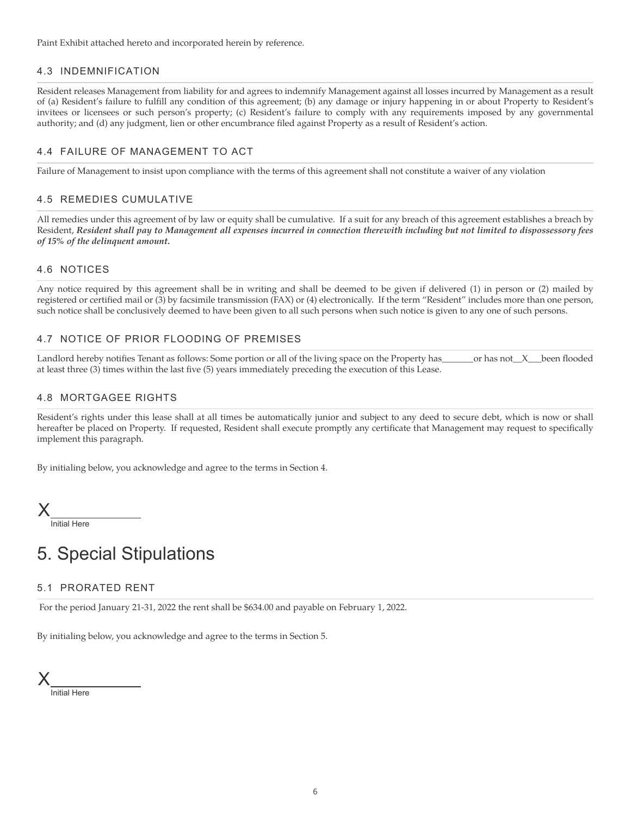Paint Exhibit attached hereto and incorporated herein by reference.

## 4.3 INDEMNIFICATION

Resident releases Management from liability for and agrees to indemnify Management against all losses incurred by Management as a result of (a) Resident's failure to fulfill any condition of this agreement; (b) any damage or injury happening in or about Property to Resident's invitees or licensees or such person's property; (c) Resident's failure to comply with any requirements imposed by any governmental authority; and (d) any judgment, lien or other encumbrance filed against Property as a result of Resident's action.

## 4.4 FAILURE OF MANAGEMENT TO ACT

Failure of Management to insist upon compliance with the terms of this agreement shall not constitute a waiver of any violation

## 4.5 REMEDIES CUMULATIVE

All remedies under this agreement of by law or equity shall be cumulative. If a suit for any breach of this agreement establishes a breach by Resident, *Resident shall pay to Management all expenses incurred in connection therewith including but not limited to dispossessory fees of 15% of the delinquent amount.*

## 4.6 NOTICES

Any notice required by this agreement shall be in writing and shall be deemed to be given if delivered (1) in person or (2) mailed by registered or certified mail or (3) by facsimile transmission (FAX) or (4) electronically. If the term "Resident" includes more than one person, such notice shall be conclusively deemed to have been given to all such persons when such notice is given to any one of such persons.

## 4.7 NOTICE OF PRIOR FLOODING OF PREMISES

Landlord hereby notifies Tenant as follows: Some portion or all of the living space on the Property has or has not X been flooded at least three (3) times within the last five (5) years immediately preceding the execution of this Lease.

## 4.8 MORTGAGEE RIGHTS

Resident's rights under this lease shall at all times be automatically junior and subject to any deed to secure debt, which is now or shall hereafter be placed on Property. If requested, Resident shall execute promptly any certificate that Management may request to specifically implement this paragraph.

By initialing below, you acknowledge and agree to the terms in Section 4.

Initial Here X

# 5. Special Stipulations

## 5.1 PRORATED RENT

For the period January 21-31, 2022 the rent shall be \$634.00 and payable on February 1, 2022.

By initialing below, you acknowledge and agree to the terms in Section 5.